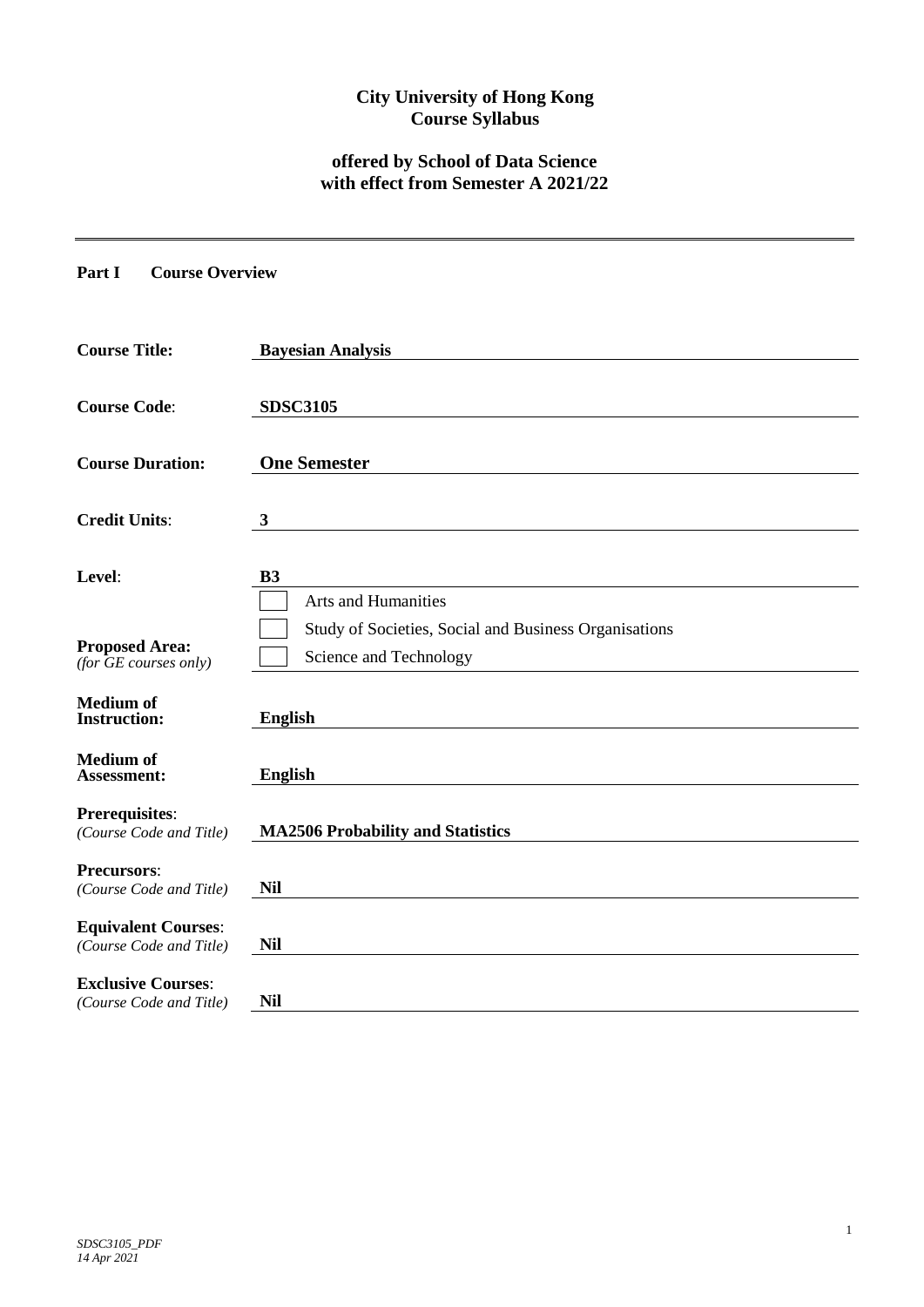# **City University of Hong Kong Course Syllabus**

## **offered by School of Data Science with effect from Semester A 2021/22**

**Part I Course Overview**

| <b>Course Title:</b>                                  | <b>Bayesian Analysis</b>                                                        |
|-------------------------------------------------------|---------------------------------------------------------------------------------|
| <b>Course Code:</b>                                   | <b>SDSC3105</b>                                                                 |
| <b>Course Duration:</b>                               | <b>One Semester</b>                                                             |
| <b>Credit Units:</b>                                  | 3                                                                               |
| Level:                                                | <b>B3</b><br><b>Arts and Humanities</b>                                         |
| <b>Proposed Area:</b><br>(for $GE$ courses only)      | Study of Societies, Social and Business Organisations<br>Science and Technology |
| <b>Medium of</b><br><b>Instruction:</b>               | <b>English</b>                                                                  |
| <b>Medium of</b><br><b>Assessment:</b>                | <b>English</b>                                                                  |
| <b>Prerequisites:</b><br>(Course Code and Title)      | <b>MA2506 Probability and Statistics</b>                                        |
| <b>Precursors:</b><br>(Course Code and Title)         | <b>Nil</b>                                                                      |
| <b>Equivalent Courses:</b><br>(Course Code and Title) | <b>Nil</b>                                                                      |
| <b>Exclusive Courses:</b><br>(Course Code and Title)  | <b>Nil</b>                                                                      |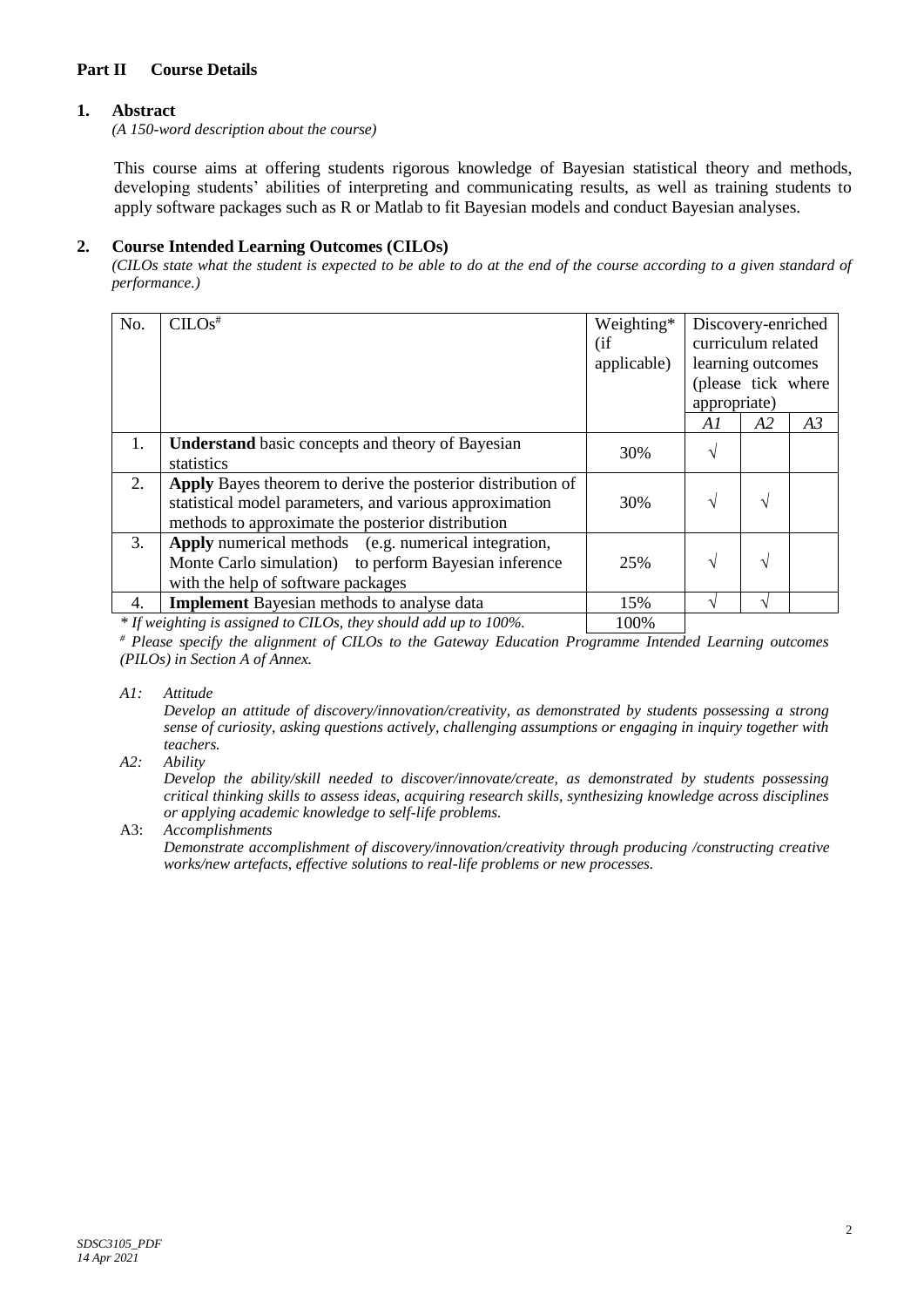## **Part II Course Details**

### **1. Abstract**

*(A 150-word description about the course)*

This course aims at offering students rigorous knowledge of Bayesian statistical theory and methods, developing students' abilities of interpreting and communicating results, as well as training students to apply software packages such as R or Matlab to fit Bayesian models and conduct Bayesian analyses.

#### **2. Course Intended Learning Outcomes (CILOs)**

*(CILOs state what the student is expected to be able to do at the end of the course according to a given standard of performance.)*

| No. | $CLOS^*$                                                                                                                                                                    | Weighting*<br>(if<br>applicable) | Discovery-enriched<br>curriculum related<br>learning outcomes<br>(please tick where<br>appropriate) |    |    |
|-----|-----------------------------------------------------------------------------------------------------------------------------------------------------------------------------|----------------------------------|-----------------------------------------------------------------------------------------------------|----|----|
|     |                                                                                                                                                                             |                                  | A1                                                                                                  | A2 | A3 |
| 1.  | <b>Understand</b> basic concepts and theory of Bayesian<br>statistics                                                                                                       | 30%                              | V                                                                                                   |    |    |
| 2.  | Apply Bayes theorem to derive the posterior distribution of<br>statistical model parameters, and various approximation<br>methods to approximate the posterior distribution | 30%                              | $\mathcal{N}$                                                                                       | N  |    |
| 3.  | Apply numerical methods (e.g. numerical integration,<br>Monte Carlo simulation) to perform Bayesian inference<br>with the help of software packages                         | 25%                              | N                                                                                                   | N  |    |
| 4.  | <b>Implement</b> Bayesian methods to analyse data                                                                                                                           | 15%                              | ٦                                                                                                   |    |    |
|     |                                                                                                                                                                             |                                  |                                                                                                     |    |    |

*\** If weighting is assigned to CILOs, they should add up to 100%.

*# Please specify the alignment of CILOs to the Gateway Education Programme Intended Learning outcomes (PILOs) in Section A of Annex.* 

*A1: Attitude* 

*Develop an attitude of discovery/innovation/creativity, as demonstrated by students possessing a strong sense of curiosity, asking questions actively, challenging assumptions or engaging in inquiry together with teachers.*

*A2: Ability*

*Develop the ability/skill needed to discover/innovate/create, as demonstrated by students possessing critical thinking skills to assess ideas, acquiring research skills, synthesizing knowledge across disciplines or applying academic knowledge to self-life problems.*

A3: *Accomplishments*

*Demonstrate accomplishment of discovery/innovation/creativity through producing /constructing creative works/new artefacts, effective solutions to real-life problems or new processes.*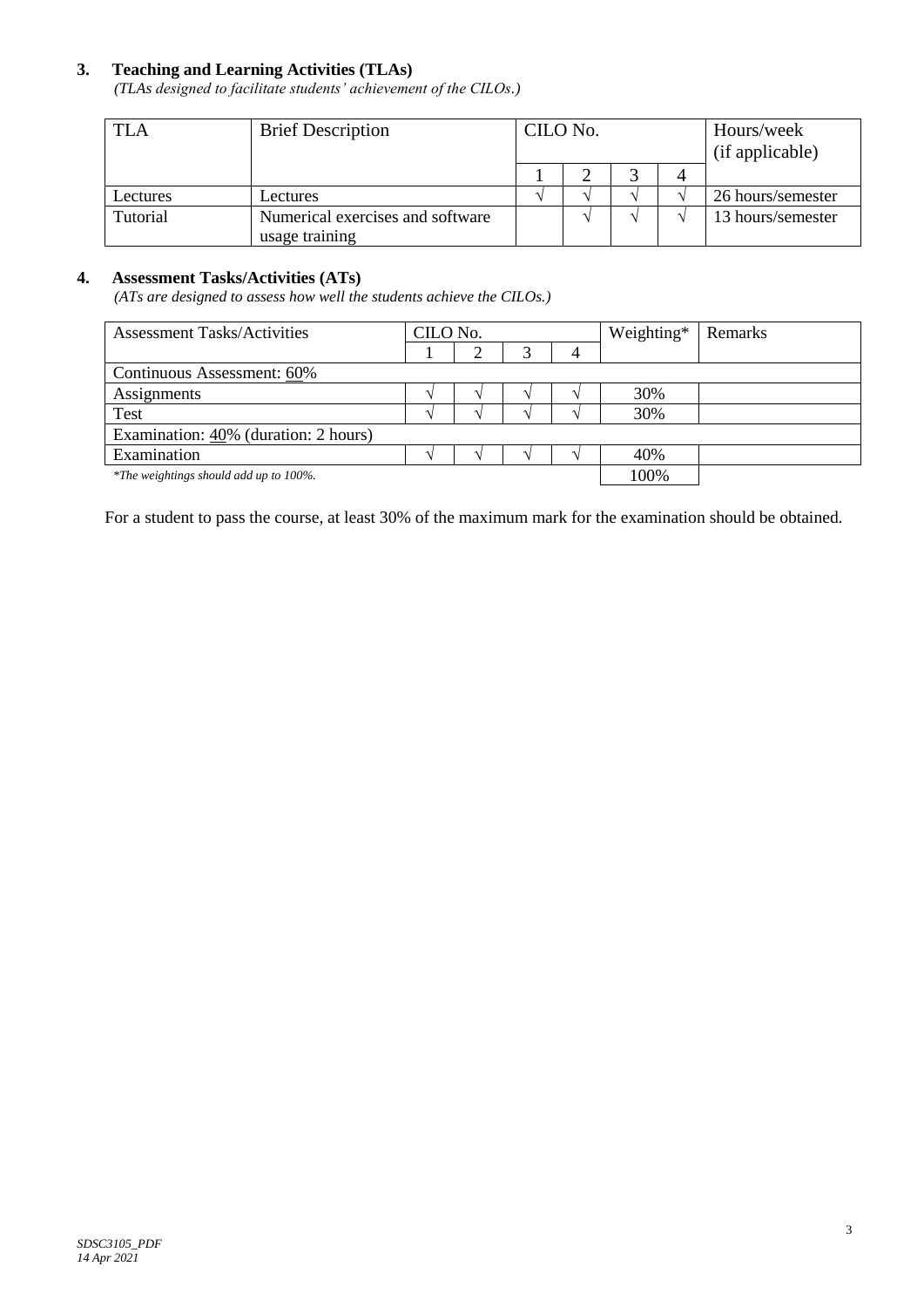# **3. Teaching and Learning Activities (TLAs)**

*(TLAs designed to facilitate students' achievement of the CILOs.)*

| <b>TLA</b> | <b>Brief Description</b>                           | CILO No. |  |  | Hours/week<br>(if applicable) |                   |
|------------|----------------------------------------------------|----------|--|--|-------------------------------|-------------------|
|            |                                                    |          |  |  |                               |                   |
| Lectures   | Lectures                                           |          |  |  |                               | 26 hours/semester |
| Tutorial   | Numerical exercises and software<br>usage training |          |  |  |                               | 13 hours/semester |

#### **4. Assessment Tasks/Activities (ATs)**

*(ATs are designed to assess how well the students achieve the CILOs.)*

| <b>Assessment Tasks/Activities</b>      | CILO No. |  |  |  | Weighting* | Remarks |
|-----------------------------------------|----------|--|--|--|------------|---------|
|                                         |          |  |  |  |            |         |
| Continuous Assessment: 60%              |          |  |  |  |            |         |
| Assignments                             |          |  |  |  | 30%        |         |
| Test                                    |          |  |  |  | 30%        |         |
| Examination: $40\%$ (duration: 2 hours) |          |  |  |  |            |         |
| Examination                             |          |  |  |  | 40%        |         |
| *The weightings should add up to 100%.  |          |  |  |  | 100%       |         |

For a student to pass the course, at least 30% of the maximum mark for the examination should be obtained.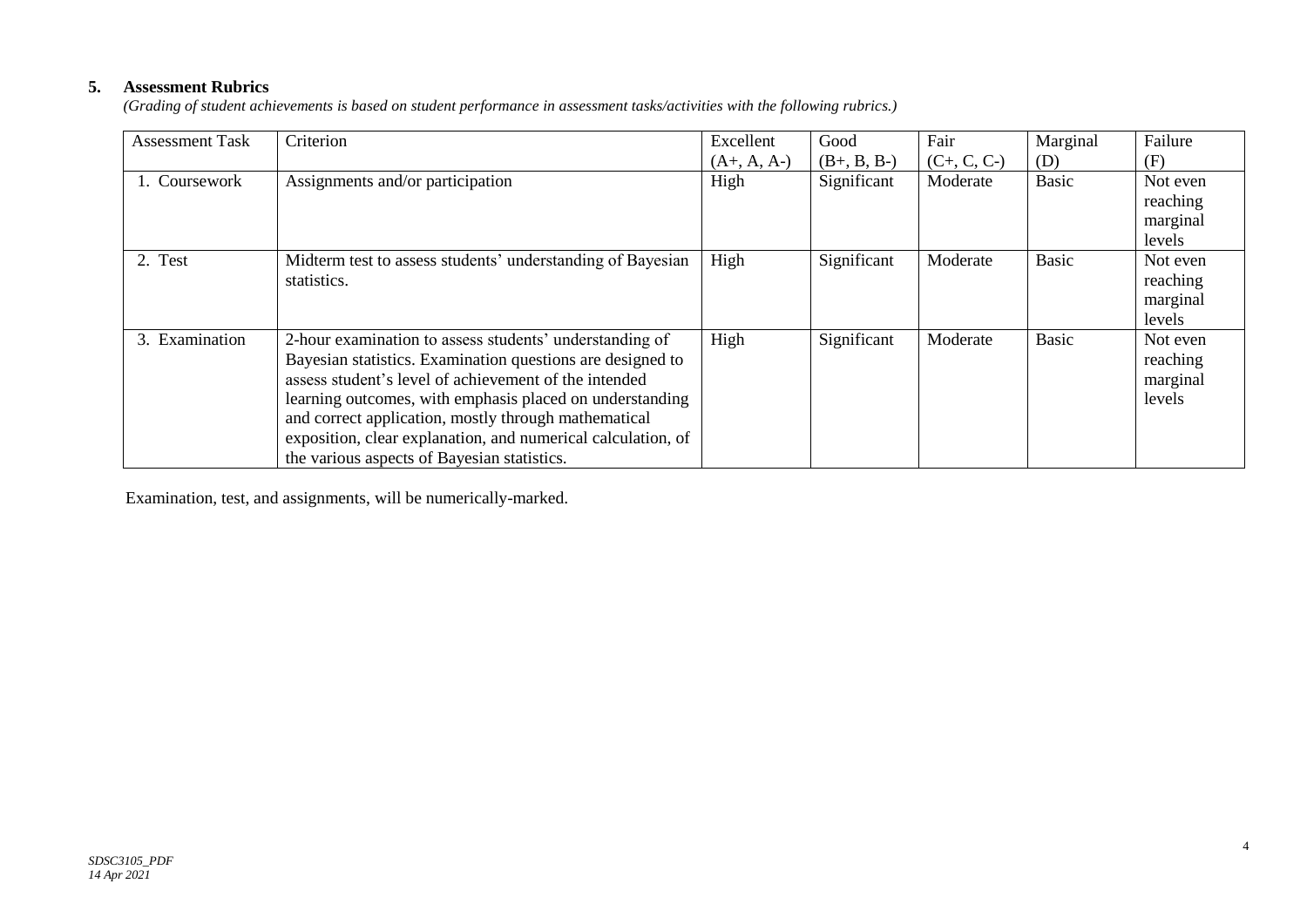# **5. Assessment Rubrics**

*(Grading of student achievements is based on student performance in assessment tasks/activities with the following rubrics.)*

| <b>Assessment Task</b> | Criterion                                                                                                                                                                                                                                                                                                                                                                                                         | Excellent     | Good          | Fair          | Marginal     | Failure                                    |
|------------------------|-------------------------------------------------------------------------------------------------------------------------------------------------------------------------------------------------------------------------------------------------------------------------------------------------------------------------------------------------------------------------------------------------------------------|---------------|---------------|---------------|--------------|--------------------------------------------|
|                        |                                                                                                                                                                                                                                                                                                                                                                                                                   | $(A+, A, A-)$ | $(B+, B, B-)$ | $(C+, C, C-)$ | (D)          | (F)                                        |
| 1. Coursework          | Assignments and/or participation                                                                                                                                                                                                                                                                                                                                                                                  | High          | Significant   | Moderate      | Basic        | Not even<br>reaching<br>marginal<br>levels |
| 2. Test                | Midterm test to assess students' understanding of Bayesian<br>statistics.                                                                                                                                                                                                                                                                                                                                         | High          | Significant   | Moderate      | <b>Basic</b> | Not even<br>reaching<br>marginal<br>levels |
| 3. Examination         | 2-hour examination to assess students' understanding of<br>Bayesian statistics. Examination questions are designed to<br>assess student's level of achievement of the intended<br>learning outcomes, with emphasis placed on understanding<br>and correct application, mostly through mathematical<br>exposition, clear explanation, and numerical calculation, of<br>the various aspects of Bayesian statistics. | High          | Significant   | Moderate      | <b>Basic</b> | Not even<br>reaching<br>marginal<br>levels |

Examination, test, and assignments, will be numerically-marked.